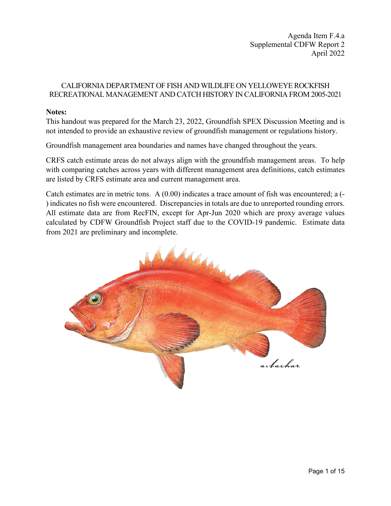Agenda Item F.4.a Supplemental CDFW Report 2 April 2022

### CALIFORNIA DEPARTMENT OF FISH AND WILDLIFE ON YELLOWEYE ROCKFISH RECREATIONAL MANAGEMENT AND CATCH HISTORY IN CALIFORNIA FROM 2005-2021

#### **Notes:**

This handout was prepared for the March 23, 2022, Groundfish SPEX Discussion Meeting and is not intended to provide an exhaustive review of groundfish management or regulations history.

Groundfish management area boundaries and names have changed throughout the years.

CRFS catch estimate areas do not always align with the groundfish management areas. To help with comparing catches across years with different management area definitions, catch estimates are listed by CRFS estimate area and current management area.

Catch estimates are in metric tons. A (0.00) indicates a trace amount of fish was encountered; a (- ) indicates no fish were encountered. Discrepancies in totals are due to unreported rounding errors. All estimate data are from RecFIN, except for Apr-Jun 2020 which are proxy average values calculated by CDFW Groundfish Project staff due to the COVID-19 pandemic. Estimate data from 2021 are preliminary and incomplete.

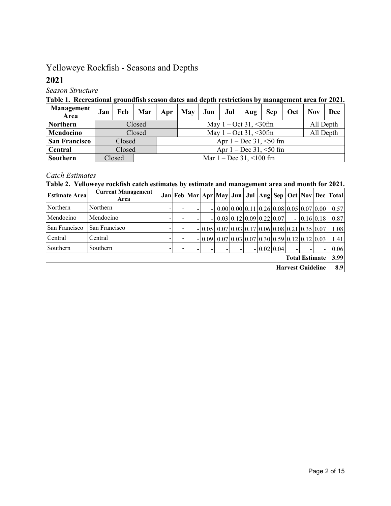# Yelloweye Rockfish - Seasons and Depths

# **2021**

*Season Structure*

### **Table 1. Recreational groundfish season dates and depth restrictions by management area for 2021.**

| Management<br>Area   | Jan | Feb    | Mar    | Apr                                               | May | Jun | Jul | Aug | <b>Sep</b>                  | Oct | <b>Nov</b> | Dec |  |  |
|----------------------|-----|--------|--------|---------------------------------------------------|-----|-----|-----|-----|-----------------------------|-----|------------|-----|--|--|
| <b>Northern</b>      |     |        | Closed | May $1 - \text{Oct } 31, \leq 30$ fm<br>All Depth |     |     |     |     |                             |     |            |     |  |  |
| Mendocino            |     |        | Closed | All Depth<br>May $1 - \text{Oct } 31, \leq 30$ fm |     |     |     |     |                             |     |            |     |  |  |
| <b>San Francisco</b> |     | Closed |        |                                                   |     |     |     |     | Apr $1 - Dec 31, \le 50$ fm |     |            |     |  |  |
| Central              |     | Closed |        | Apr $1 - Dec 31, \le 50$ fm                       |     |     |     |     |                             |     |            |     |  |  |
| Southern             |     | Closed |        | Mar $1 - Dec 31, \le 100$ fm                      |     |     |     |     |                             |     |            |     |  |  |

## *Catch Estimates*

## **Table 2. Yelloweye rockfish catch estimates by estimate and management area and month for 2021.**

| <b>Estimate Area</b>     | <b>Current Management</b><br>Area |  |  |  |                |                                                                                                           |                                                     |  |              |  |                |     |                             | Jan   Feb   Mar   Apr   May   Jun   Jul   Aug   Sep   Oct   Nov   Dec   Total |
|--------------------------|-----------------------------------|--|--|--|----------------|-----------------------------------------------------------------------------------------------------------|-----------------------------------------------------|--|--------------|--|----------------|-----|-----------------------------|-------------------------------------------------------------------------------|
| Northern                 | Northern                          |  |  |  | $\blacksquare$ | $0.00 \,   \, 0.00 \,   \, 0.11 \,   \, 0.26 \,   \, 0.08 \,   \, 0.05 \,   \, 0.07 \,   \, 0.00 \,   \,$ |                                                     |  |              |  |                |     |                             | 0.57                                                                          |
| Mendocino                | Mendocino                         |  |  |  | ۰              |                                                                                                           | $0.03 \mid 0.12 \mid 0.09 \mid 0.22 \mid 0.07 \mid$ |  |              |  | $\blacksquare$ |     | $0.16 \,   \, 0.18 \,   \,$ | 0.87                                                                          |
| San Francisco            | San Francisco                     |  |  |  | $-0.05$        | $0.07 0.03 0.17 0.06 0.08 0.21 0.35 0.07$                                                                 |                                                     |  |              |  |                |     |                             | 1.08                                                                          |
| Central                  | Central                           |  |  |  | $-10.09$       | $0.07 \,   \, 0.03 \,   \, 0.07 \,   \, 0.30 \,   \, 0.59 \,   \, 0.12 \,   \, 0.12 \,   \, 0.03 \,   \,$ |                                                     |  |              |  |                |     |                             | 1.41                                                                          |
| Southern                 | Southern                          |  |  |  |                |                                                                                                           |                                                     |  | $-0.02$ 0.04 |  |                |     |                             | 0.06                                                                          |
| <b>Total Estimate</b>    |                                   |  |  |  |                |                                                                                                           |                                                     |  |              |  |                |     | 3.99                        |                                                                               |
| <b>Harvest Guideline</b> |                                   |  |  |  |                |                                                                                                           |                                                     |  |              |  |                | 8.9 |                             |                                                                               |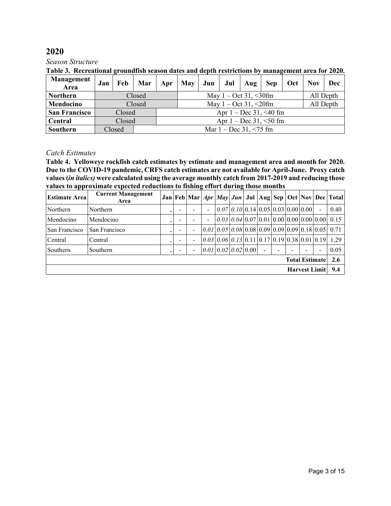*Season Structure*

|  |  | Table 3. Recreational groundfish season dates and depth restrictions by management area for 2020. |
|--|--|---------------------------------------------------------------------------------------------------|
|  |  |                                                                                                   |

| Management<br>Area   | Jan |        | Feb   Mar |                                                   | Apr May | Jun | Jul Aug |  |                             | Sep   Oct | <b>Nov</b> | Dec |  |  |
|----------------------|-----|--------|-----------|---------------------------------------------------|---------|-----|---------|--|-----------------------------|-----------|------------|-----|--|--|
| <b>Northern</b>      |     |        | Closed    | May $1 - Oct 31, \leq 30$ fm<br>All Depth         |         |     |         |  |                             |           |            |     |  |  |
| Mendocino            |     |        | Closed    | All Depth<br>May $1 - \text{Oct } 31, \leq 20$ fm |         |     |         |  |                             |           |            |     |  |  |
| <b>San Francisco</b> |     | Closed |           |                                                   |         |     |         |  | Apr $1 - Dec 31, \le 40$ fm |           |            |     |  |  |
| Central              |     | Closed |           | Apr $1 - Dec 31, \le 50$ fm                       |         |     |         |  |                             |           |            |     |  |  |
| Southern             |     | Closed |           | Mar $1 - Dec 31, \le 75$ fm                       |         |     |         |  |                             |           |            |     |  |  |

#### *Catch Estimates*

**Table 4. Yelloweye rockfish catch estimates by estimate and management area and month for 2020. Due to the COVID-19 pandemic, CRFS catch estimates are not available for April-June. Proxy catch values (***in italics)* **were calculated using the average monthly catch from 2017-2019 and reducing those values to approximate expected reductions to fishing effort during those months**

| <b>Current Management</b><br>Area |  |  |                |                          |  |  |  |  |                         |  |  |                          |                                                                                                                                                                                                                                                                                                                                                                                                                       |
|-----------------------------------|--|--|----------------|--------------------------|--|--|--|--|-------------------------|--|--|--------------------------|-----------------------------------------------------------------------------------------------------------------------------------------------------------------------------------------------------------------------------------------------------------------------------------------------------------------------------------------------------------------------------------------------------------------------|
| Northern                          |  |  |                | $\overline{\phantom{a}}$ |  |  |  |  |                         |  |  | $\blacksquare$           | 0.40                                                                                                                                                                                                                                                                                                                                                                                                                  |
| Mendocino                         |  |  |                | $\overline{\phantom{a}}$ |  |  |  |  |                         |  |  |                          |                                                                                                                                                                                                                                                                                                                                                                                                                       |
| San Francisco                     |  |  | $\blacksquare$ |                          |  |  |  |  |                         |  |  |                          |                                                                                                                                                                                                                                                                                                                                                                                                                       |
| Central                           |  |  |                |                          |  |  |  |  |                         |  |  |                          |                                                                                                                                                                                                                                                                                                                                                                                                                       |
| Southern                          |  |  |                |                          |  |  |  |  |                         |  |  | $\overline{\phantom{0}}$ | 0.05                                                                                                                                                                                                                                                                                                                                                                                                                  |
|                                   |  |  |                |                          |  |  |  |  |                         |  |  |                          | 2.6                                                                                                                                                                                                                                                                                                                                                                                                                   |
| Harvest Limit 9.4                 |  |  |                |                          |  |  |  |  |                         |  |  |                          |                                                                                                                                                                                                                                                                                                                                                                                                                       |
|                                   |  |  |                |                          |  |  |  |  | [0.01] 0.02] 0.02] 0.00 |  |  |                          | $Jan$ Feb Mar $Apr$ <i>May</i> $Jun$ Jul Aug Sep Oct Nov Dec Total<br>$0.07 \mid 0.10 \mid 0.14 \mid 0.05 \mid 0.03 \mid 0.00 \mid 0.00 \mid$<br>$0.03 \mid 0.04 \mid 0.07 \mid 0.01 \mid 0.00 \mid 0.00 \mid 0.00 \mid 0.00 \mid 0.15$<br>$[0.01]$ $[0.05]$ $[0.08]$ $[0.09]$ $[0.09]$ $[0.09]$ $[0.18]$ $[0.05]$ $[0.71]$<br>$[0.03] 0.06] 0.13] 0.11] 0.17] 0.19] 0.38] 0.01] 0.19] 1.29$<br><b>Total Estimate</b> |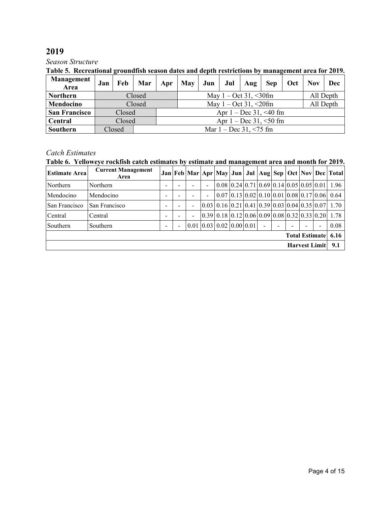#### *Season Structure*

### **Table 5. Recreational groundfish season dates and depth restrictions by management area for 2019.**

| <b>Management</b><br>Area | Jan | Feb    | Mar    |                                                   | Apr   May | $ $ Jun $ $ | Jul Aug |  |                             | Sep   Oct | <b>Nov</b> | Dec |  |  |
|---------------------------|-----|--------|--------|---------------------------------------------------|-----------|-------------|---------|--|-----------------------------|-----------|------------|-----|--|--|
| <b>Northern</b>           |     |        | Closed | May $1 - \text{Oct } 31, \leq 30$ fm<br>All Depth |           |             |         |  |                             |           |            |     |  |  |
| Mendocino                 |     |        | Closed | All Depth<br>May $1 - \text{Oct } 31, \leq 20$ fm |           |             |         |  |                             |           |            |     |  |  |
| <b>San Francisco</b>      |     | Closed |        |                                                   |           |             |         |  | Apr $1 - Dec 31, \le 40$ fm |           |            |     |  |  |
| Central                   |     | Closed |        | Apr $1 - Dec 31, \le 50$ fm                       |           |             |         |  |                             |           |            |     |  |  |
| Southern                  |     | Closed |        | Mar $1 - Dec 31, \le 75$ fm                       |           |             |         |  |                             |           |            |     |  |  |

## *Catch Estimates*

## **Table 6. Yelloweye rockfish catch estimates by estimate and management area and month for 2019.**

| <b>Estimate Area</b> | <b>Current Management</b><br>Area |   |                          |  |                |                                                                |  |  |  |  |  |                       | Jan   Feb   Mar   Apr   May   Jun   Jul   Aug   Sep   Oct   Nov   Dec   Total          |
|----------------------|-----------------------------------|---|--------------------------|--|----------------|----------------------------------------------------------------|--|--|--|--|--|-----------------------|----------------------------------------------------------------------------------------|
| Northern             | Northern                          | - |                          |  | $\blacksquare$ |                                                                |  |  |  |  |  |                       | $0.08 \mid 0.24 \mid 0.71 \mid 0.69 \mid 0.14 \mid 0.05 \mid 0.05 \mid 0.01 \mid 1.96$ |
| Mendocino            | Mendocino                         | - |                          |  | $\blacksquare$ |                                                                |  |  |  |  |  |                       | $0.07 \mid 0.13 \mid 0.02 \mid 0.10 \mid 0.01 \mid 0.08 \mid 0.17 \mid 0.06 \mid 0.64$ |
| San Francisco        | San Francisco                     | - |                          |  |                |                                                                |  |  |  |  |  |                       | $[0.03]$ 0.16 $[0.21]$ 0.41 $[0.39]$ 0.03 $[0.04]$ 0.35 $[0.07]$ 1.70                  |
| Central              | Central                           | - |                          |  |                |                                                                |  |  |  |  |  |                       | $[0.39]$ 0.18 $[0.12]$ 0.06 $[0.09]$ 0.08 $[0.32]$ 0.33 $[0.20]$ 1.78                  |
| Southern             | Southern                          | - | $\overline{\phantom{a}}$ |  |                | $\vert 0.01 \vert 0.03 \vert 0.02 \vert 0.00 \vert 0.01 \vert$ |  |  |  |  |  | ۰                     | 0.08                                                                                   |
|                      |                                   |   |                          |  |                |                                                                |  |  |  |  |  | <b>Total Estimate</b> | 6.16                                                                                   |
| Harvest Limit   9.1  |                                   |   |                          |  |                |                                                                |  |  |  |  |  |                       |                                                                                        |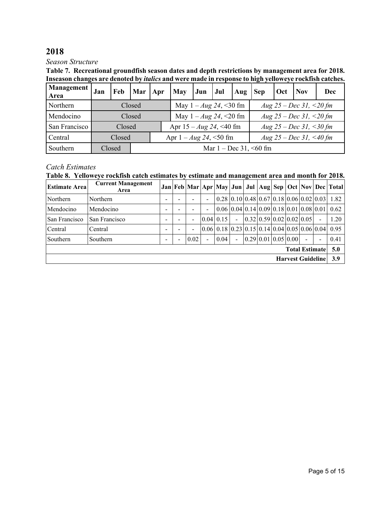#### *Season Structure*

**Table 7. Recreational groundfish season dates and depth restrictions by management area for 2018. Inseason changes are denoted by** *italics* **and were made in response to high yelloweye rockfish catches.** 

| <b>Management</b><br>Area | Jan | Feb    | <b>Mar</b>                  | Apr                                                      | <b>May</b>                     | Jun | Jul                           | $\vert$ Aug | <b>Sep</b>              | Oct | <b>Nov</b> | Dec |  |  |  |
|---------------------------|-----|--------|-----------------------------|----------------------------------------------------------|--------------------------------|-----|-------------------------------|-------------|-------------------------|-----|------------|-----|--|--|--|
| Northern                  |     |        | Closed                      |                                                          |                                |     | May $1 - Aug\ 24, \leq 30$ fm |             | Aug 25 – Dec 31, <20 fm |     |            |     |  |  |  |
| Mendocino                 |     |        | Closed                      |                                                          |                                |     | May $1 - Aug\ 24, \leq 20$ fm |             | Aug 25 – Dec 31, <20 fm |     |            |     |  |  |  |
| San Francisco             |     | Closed |                             |                                                          | Apr $15 - Aug\ 24, \leq 40$ fm |     |                               |             | Aug 25 – Dec 31, <30 fm |     |            |     |  |  |  |
| Central                   |     | Closed |                             | Apr $1 - Aug\ 24, \leq 50$ fm<br>Aug 25 – Dec 31, <40 fm |                                |     |                               |             |                         |     |            |     |  |  |  |
| Southern                  |     | Closed | Mar $1 - Dec 31, \le 60$ fm |                                                          |                                |     |                               |             |                         |     |            |     |  |  |  |

## *Catch Estimates*

|  |  |  |  | Table 8. Yelloweye rockfish catch estimates by estimate and management area and month for 2018. |  |  |  |  |
|--|--|--|--|-------------------------------------------------------------------------------------------------|--|--|--|--|
|--|--|--|--|-------------------------------------------------------------------------------------------------|--|--|--|--|

| <b>Estimate Area</b>     | <b>Current Management</b><br>Area |   |                          |      |                          |                                                                              |                |  |                                          |  |  |                |                       | Jan   Feb   Mar   Apr   May   Jun   Jul   Aug   Sep   Oct   Nov   Dec   Total          |
|--------------------------|-----------------------------------|---|--------------------------|------|--------------------------|------------------------------------------------------------------------------|----------------|--|------------------------------------------|--|--|----------------|-----------------------|----------------------------------------------------------------------------------------|
| Northern                 | Northern                          |   |                          |      | $\overline{\phantom{a}}$ |                                                                              |                |  |                                          |  |  |                |                       | $0.28 \mid 0.10 \mid 0.48 \mid 0.67 \mid 0.18 \mid 0.06 \mid 0.02 \mid 0.03 \mid 1.82$ |
| Mendocino                | Mendocino                         | - |                          |      | $\blacksquare$           | $0.06 \mid 0.04 \mid 0.14 \mid 0.09 \mid 0.18 \mid 0.01 \mid 0.08 \mid 0.01$ |                |  |                                          |  |  |                |                       | 0.62                                                                                   |
| San Francisco            | San Francisco                     | - |                          |      |                          | $0.04 \,   \, 0.15 \,   \,$                                                  | $\sim$         |  | $[0.32 \, 0.59 \, 0.02 \, 0.02 \, 0.05]$ |  |  |                |                       | 1.20                                                                                   |
| Central                  | Central                           | - |                          |      |                          | $[0.06]$ 0.18 $[0.23]$ 0.15 $[0.14]$ 0.04 $[0.05]$ 0.06 $[0.04]$ 0.95        |                |  |                                          |  |  |                |                       |                                                                                        |
| Southern                 | Southern                          |   | $\overline{\phantom{a}}$ | 0.02 | $\overline{\phantom{a}}$ | 0.04                                                                         | $\blacksquare$ |  | $[0.29 \, 0.01 \, 0.05 \, 0.00]$         |  |  | $\blacksquare$ | -                     | 0.41                                                                                   |
|                          |                                   |   |                          |      |                          |                                                                              |                |  |                                          |  |  |                | <b>Total Estimate</b> | 5.0                                                                                    |
| <b>Harvest Guideline</b> |                                   |   |                          |      |                          |                                                                              |                |  |                                          |  |  | 3.9            |                       |                                                                                        |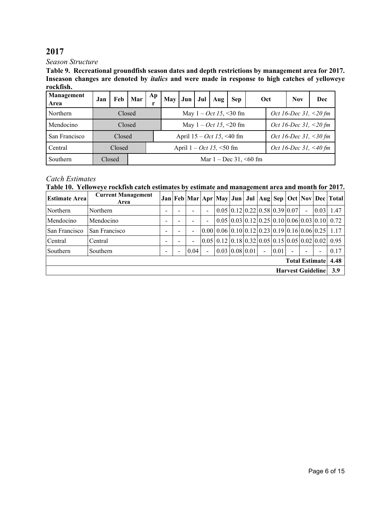*Season Structure*

**Table 9. Recreational groundfish season dates and depth restrictions by management area for 2017. Inseason changes are denoted by** *italics* **and were made in response to high catches of yelloweye rockfish.** 

| Management<br>Area | Jan | Feb    | Mar | Ap                                                  | May Jun |  | Jul | Aug                         | <b>Sep</b>                              |  | Oct | <b>Nov</b>               | Dec |  |  |  |
|--------------------|-----|--------|-----|-----------------------------------------------------|---------|--|-----|-----------------------------|-----------------------------------------|--|-----|--------------------------|-----|--|--|--|
| Northern           |     | Closed |     |                                                     |         |  |     |                             | May $1 - Oct \, 15, \, 30 \, \text{fm}$ |  |     | Oct 16-Dec 31, $<$ 20 fm |     |  |  |  |
| Mendocino          |     | Closed |     |                                                     |         |  |     |                             | May $1 - Oct \, 15, \, 20 \, \text{fm}$ |  |     | Oct 16-Dec 31, <20 fm    |     |  |  |  |
| San Francisco      |     | Closed |     |                                                     |         |  |     | April $15 - Oct$ 15, <40 fm |                                         |  |     | Oct 16-Dec 31, <30 fm    |     |  |  |  |
| Central            |     | Closed |     | Oct 16-Dec 31, <40 fm<br>April $1 - Oct$ 15, <50 fm |         |  |     |                             |                                         |  |     |                          |     |  |  |  |
| Southern           |     | Closed |     | Mar $1 - Dec 31, \le 60$ fm                         |         |  |     |                             |                                         |  |     |                          |     |  |  |  |

## *Catch Estimates*

**Table 10. Yelloweye rockfish catch estimates by estimate and management area and month for 2017.**

| <b>Estimate Area</b>     | <b>Current Management</b><br>Area |                          |  |                |                |                                                                                 |  |  |                |      |                       |        |                          | Jan   Feb   Mar   Apr   May   Jun   Jul   Aug   Sep   Oct   Nov   Dec   Total          |
|--------------------------|-----------------------------------|--------------------------|--|----------------|----------------|---------------------------------------------------------------------------------|--|--|----------------|------|-----------------------|--------|--------------------------|----------------------------------------------------------------------------------------|
| Northern                 | Northern                          | $\overline{\phantom{0}}$ |  |                | $\overline{a}$ | $0.05 \,   \, 0.12 \,   \, 0.22 \,   \, 0.58 \,   \, 0.39 \,   \, 0.07 \,   \,$ |  |  |                |      |                       | $\sim$ | 0.03                     | 1.47                                                                                   |
| Mendocino                | Mendocino                         |                          |  |                |                |                                                                                 |  |  |                |      |                       |        |                          | $0.05 \mid 0.03 \mid 0.12 \mid 0.25 \mid 0.10 \mid 0.06 \mid 0.03 \mid 0.10 \mid 0.72$ |
| San Francisco            | San Francisco                     | -                        |  | $\blacksquare$ |                | $[0.00] 0.06] 0.10] 0.12] 0.23] 0.19] 0.16] 0.06] 0.25$                         |  |  |                |      |                       |        |                          | 1.17                                                                                   |
| Central                  | Central                           | -                        |  |                |                | $[0.05]$ 0.12 $[0.18]$ 0.32 $[0.05]$ 0.15 $[0.05]$ 0.02 $[0.02]$                |  |  |                |      |                       |        |                          | 0.95                                                                                   |
| Southern                 | Southern                          | -                        |  | 0.04           | $\overline{a}$ | $0.03 \mid 0.08 \mid 0.01 \mid$                                                 |  |  | $\blacksquare$ | 0.01 | $\blacksquare$        |        | $\overline{\phantom{a}}$ | 0.17                                                                                   |
|                          |                                   |                          |  |                |                |                                                                                 |  |  |                |      | <b>Total Estimate</b> |        |                          | 4.48                                                                                   |
| <b>Harvest Guideline</b> |                                   |                          |  |                |                |                                                                                 |  |  |                |      |                       | 3.9    |                          |                                                                                        |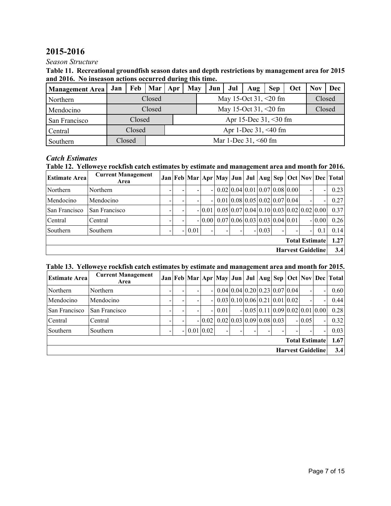# **2015-2016**

### *Season Structure*

| Table 11. Recreational groundfish season dates and depth restrictions by management area for 2015 |
|---------------------------------------------------------------------------------------------------|
| and 2016. No inseason actions occurred during this time.                                          |

| <b>Management Area</b> | Jan | Feb    | Mar   Apr |                         | May | Jun | Jul | Aug                      | <b>Sep</b> | Oct | Nov    | Dec |  |  |  |
|------------------------|-----|--------|-----------|-------------------------|-----|-----|-----|--------------------------|------------|-----|--------|-----|--|--|--|
| Northern               |     |        | Closed    |                         |     |     |     | May 15-Oct 31, $<20$ fm  |            |     | Closed |     |  |  |  |
| Mendocino              |     |        | Closed    |                         |     |     |     | May 15-Oct 31, $<20$ fm  |            |     | Closed |     |  |  |  |
| San Francisco          |     | Closed |           |                         |     |     |     | Apr 15-Dec $31, < 30$ fm |            |     |        |     |  |  |  |
| Central                |     | Closed |           |                         |     |     |     | Apr 1-Dec $31, < 40$ fm  |            |     |        |     |  |  |  |
| Southern               |     | Closed |           | Mar 1-Dec $31, < 60$ fm |     |     |     |                          |            |     |        |     |  |  |  |

### *Catch Estimates*

## **Table 12. Yelloweye rockfish catch estimates by estimate and management area and month for 2016.**

| <b>Estimate Area</b>  | <b>Current Management</b><br>Area |  |  |          |          |  |                                                                                 |  |          |  |  |   |                          | Jan   Feb   Mar   Apr   May   Jun   Jul   Aug   Sep   Oct   Nov   Dec   Total |
|-----------------------|-----------------------------------|--|--|----------|----------|--|---------------------------------------------------------------------------------|--|----------|--|--|---|--------------------------|-------------------------------------------------------------------------------|
| Northern              | Northern                          |  |  |          | $\sim$   |  | $0.02 \mid 0.04 \mid 0.01 \mid 0.07 \mid 0.08 \mid 0.00 \mid$                   |  |          |  |  |   | -                        | 0.23                                                                          |
| Mendocino             | Mendocino                         |  |  |          | $\sim$   |  | $0.01 \,   \, 0.08 \,   \, 0.05 \,   \, 0.02 \,   \, 0.07 \,   \, 0.04 \,   \,$ |  |          |  |  |   | ۰                        | 0.27                                                                          |
| San Francisco         | San Francisco                     |  |  |          | $-10.01$ |  | $0.05 \mid 0.07 \mid 0.04 \mid 0.10 \mid 0.03 \mid 0.02 \mid 0.02 \mid 0.00$    |  |          |  |  |   |                          | 0.37                                                                          |
| Central               | Central                           |  |  |          | $-10.00$ |  | $0.07 \,   \, 0.06 \,   \, 0.03 \,   \, 0.03 \,   \, 0.04 \,   \, 0.01$         |  |          |  |  |   | $-10.00$                 | 0.26                                                                          |
| Southern              | Southern                          |  |  | $-10.01$ |          |  |                                                                                 |  | $-10.03$ |  |  | - | 0.1                      | 0.14                                                                          |
| <b>Total Estimate</b> |                                   |  |  |          |          |  |                                                                                 |  |          |  |  |   |                          | 1.27                                                                          |
|                       |                                   |  |  |          |          |  |                                                                                 |  |          |  |  |   | <b>Harvest Guideline</b> | 3.4                                                                           |

## **Table 13. Yelloweye rockfish catch estimates by estimate and management area and month for 2015.**

| <b>Estimate Area</b>  | <b>Current Management</b><br>Area |  |  |             |                |                                                                           |                                                     |  |                                   |  |                          |                          |                          | Jan   Feb   Mar   Apr   May   Jun   Jul   Aug   Sep   Oct   Nov   Dec   Total |
|-----------------------|-----------------------------------|--|--|-------------|----------------|---------------------------------------------------------------------------|-----------------------------------------------------|--|-----------------------------------|--|--------------------------|--------------------------|--------------------------|-------------------------------------------------------------------------------|
| Northern              | Northern                          |  |  |             | $-1$           | $\left[0.04\right]0.04\left[0.20\right]0.23\left[0.07\right]0.04$         |                                                     |  |                                   |  |                          | $\overline{\phantom{0}}$ | $\overline{\phantom{a}}$ | 0.60                                                                          |
| Mendocino             | Mendocino                         |  |  |             | $\overline{a}$ | $\vert 0.03 \vert 0.10 \vert 0.06 \vert 0.21 \vert 0.01 \vert 0.02 \vert$ |                                                     |  |                                   |  |                          |                          |                          | 0.44                                                                          |
| San Francisco         | San Francisco                     |  |  |             | Ξ.             | 0.01                                                                      |                                                     |  | $-0.05[0.11[0.09]0.02[0.01]0.00]$ |  |                          |                          |                          | 0.28                                                                          |
| Central               | Central                           |  |  |             | $-10.02$       |                                                                           | $0.02 \mid 0.03 \mid 0.09 \mid 0.08 \mid 0.03 \mid$ |  |                                   |  |                          | $-10.05$                 |                          | 0.32                                                                          |
| Southern              | Southern                          |  |  | 0.01   0.02 |                |                                                                           |                                                     |  |                                   |  |                          |                          | $\overline{\phantom{a}}$ | 0.03                                                                          |
| <b>Total Estimate</b> |                                   |  |  |             |                |                                                                           |                                                     |  |                                   |  |                          |                          |                          | 1.67                                                                          |
|                       |                                   |  |  |             |                |                                                                           |                                                     |  |                                   |  | <b>Harvest Guideline</b> |                          |                          | 3.4                                                                           |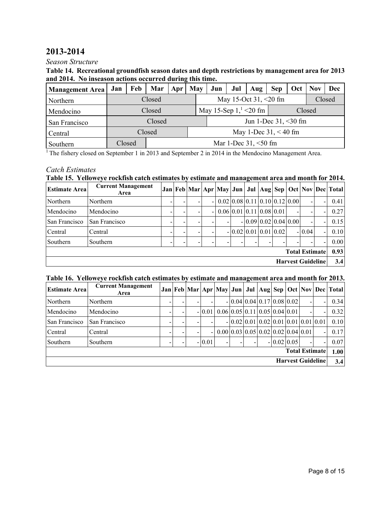# **2013-2014**

#### *Season Structure*

#### **Table 14. Recreational groundfish season dates and depth restrictions by management area for 2013 and 2014. No inseason actions occurred during this time.**

| <b>Management Area</b> | Jan | Feb    | Mar    | Apr | May | Jun | Jul | Aug                         | <b>Sep</b>              | Oct | <b>Nov</b> | Dec    |
|------------------------|-----|--------|--------|-----|-----|-----|-----|-----------------------------|-------------------------|-----|------------|--------|
| Northern               |     |        | Closed |     |     |     |     | May 15-Oct 31, $\leq$ 20 fm |                         |     |            | Closed |
| Mendocino              |     |        | Closed |     |     |     |     | May 15-Sep $1,^{1}$ < 20 fm |                         |     | Closed     |        |
| San Francisco          |     |        | Closed |     |     |     |     |                             | Jun 1-Dec $31, < 30$ fm |     |            |        |
| Central                |     |        | Closed |     |     |     |     |                             | May 1-Dec $31, < 40$ fm |     |            |        |
| Southern               |     | Closed |        |     |     |     |     | Mar 1-Dec $31, <50$ fm      |                         |     |            |        |

<sup>1</sup> The fishery closed on September 1 in 2013 and September 2 in 2014 in the Mendocino Management Area.

### *Catch Estimates*

## **Table 15. Yelloweye rockfish catch estimates by estimate and management area and month for 2014.**

| <b>Estimate Area</b> | <b>Current Management</b><br>Area |  |                |                                                                           |  |                          |  |                          |                          | Jan   Feb   Mar   Apr   May   Jun   Jul   Aug   Sep   Oct   Nov   Dec   Total |
|----------------------|-----------------------------------|--|----------------|---------------------------------------------------------------------------|--|--------------------------|--|--------------------------|--------------------------|-------------------------------------------------------------------------------|
| Northern             | Northern                          |  | $\overline{a}$ | $\vert 0.02 \vert 0.08 \vert 0.11 \vert 0.10 \vert 0.12 \vert 0.00 \vert$ |  |                          |  |                          | ۰                        | 0.41                                                                          |
| Mendocino            | Mendocino                         |  | $\blacksquare$ | $0.06 \,   \, 0.01 \,   \, 0.11 \,   \, 0.08 \,   \, 0.01 \,   \,$        |  |                          |  |                          | -                        | 0.27                                                                          |
| San Francisco        | San Francisco                     |  |                | -                                                                         |  | $- 0.09 0.02 0.04 0.00 $ |  | $\overline{\phantom{0}}$ | Ξ.                       | 0.15                                                                          |
| Central              | Central                           |  |                |                                                                           |  | $-0.02$ 0.01 0.01 0.02   |  | $-10.04$                 | $\overline{\phantom{0}}$ | 0.10                                                                          |
| Southern             | Southern                          |  |                |                                                                           |  |                          |  |                          | Ξ.                       | 0.00                                                                          |
|                      |                                   |  |                |                                                                           |  |                          |  | <b>Total Estimate</b>    |                          | 0.93                                                                          |
|                      |                                   |  |                |                                                                           |  |                          |  | <b>Harvest Guideline</b> |                          | 3.4                                                                           |

#### **Table 16. Yelloweye rockfish catch estimates by estimate and management area and month for 2013.**

| <b>Estimate Area</b>  | <b>Current Management</b><br>Area |  |  |  |          |  |                                                          |  |  |  |              |                          |  | Jan   Feb   Mar   Apr   May   Jun   Jul   Aug   Sep   Oct   Nov   Dec   Total |
|-----------------------|-----------------------------------|--|--|--|----------|--|----------------------------------------------------------|--|--|--|--------------|--------------------------|--|-------------------------------------------------------------------------------|
| Northern              | Northern                          |  |  |  |          |  | $-0.04$ 0.04 0.17 0.08 0.02                              |  |  |  |              | $\blacksquare$           |  | 0.34                                                                          |
| Mendocino             | Mendocino                         |  |  |  | $-10.01$ |  | $0.06 \mid 0.05 \mid 0.11 \mid 0.05 \mid 0.04 \mid 0.01$ |  |  |  |              | $\overline{\phantom{0}}$ |  | 0.32                                                                          |
| San Francisco         | San Francisco                     |  |  |  |          |  | $-0.02$ 0.01 0.02 0.01 0.01 0.01 0.01                    |  |  |  |              |                          |  | 0.10                                                                          |
| Central               | Central                           |  |  |  | -        |  | 0.00 0.03 0.05 0.02 0.02 0.04 0.01                       |  |  |  |              |                          |  | 0.17                                                                          |
| Southern              | Southern                          |  |  |  | $-10.01$ |  |                                                          |  |  |  | $-0.02$ 0.05 |                          |  | 0.07                                                                          |
| <b>Total Estimate</b> |                                   |  |  |  |          |  |                                                          |  |  |  |              |                          |  | 1.00                                                                          |
|                       |                                   |  |  |  |          |  |                                                          |  |  |  |              | <b>Harvest Guideline</b> |  | 3.4                                                                           |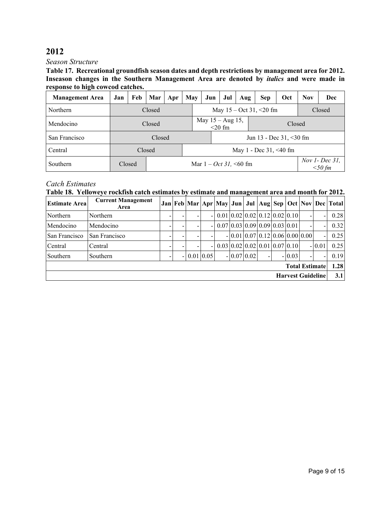#### *Season Structure*

**Table 17. Recreational groundfish season dates and depth restrictions by management area for 2012. Inseason changes in the Southern Management Area are denoted by** *italics* **and were made in response to high cowcod catches.** 

| <b>Management Area</b> | Jan | Feb    | Mar    | Apr | May                                                         | Jun                 | Jul       | Aug | Sep                        | Oct | <b>Nov</b> | Dec    |  |  |  |  |  |
|------------------------|-----|--------|--------|-----|-------------------------------------------------------------|---------------------|-----------|-----|----------------------------|-----|------------|--------|--|--|--|--|--|
| <b>Northern</b>        |     |        | Closed |     |                                                             |                     |           |     | May $15 - Oct 31, < 20 fm$ |     |            | Closed |  |  |  |  |  |
| Mendocino              |     |        | Closed |     |                                                             | May $15 - Aug 15$ , | $<$ 20 fm |     |                            |     | Closed     |        |  |  |  |  |  |
| San Francisco          |     |        | Closed |     | Jun 13 - Dec 31, <30 fm                                     |                     |           |     |                            |     |            |        |  |  |  |  |  |
| Central                |     |        | Closed |     | May 1 - Dec 31, <40 fm                                      |                     |           |     |                            |     |            |        |  |  |  |  |  |
| Southern               |     | Closed |        |     | Nov $1$ - Dec 31,<br>Mar $1 - Oct 31$ , <60 fm<br>$<$ 50 fm |                     |           |     |                            |     |            |        |  |  |  |  |  |

## *Catch Estimates*

## **Table 18. Yelloweye rockfish catch estimates by estimate and management area and month for 2012.**

| <b>Estimate Area</b> | <b>Current Management</b><br>Area |                          |             |                          |                                                                                 |                                   |  |          |                          |                          | Jan   Feb   Mar   Apr   May   Jun   Jul   Aug   Sep   Oct   Nov   Dec   Total |
|----------------------|-----------------------------------|--------------------------|-------------|--------------------------|---------------------------------------------------------------------------------|-----------------------------------|--|----------|--------------------------|--------------------------|-------------------------------------------------------------------------------|
| Northern             | Northern                          |                          |             | $\overline{\phantom{0}}$ | $0.01 \,   \, 0.02 \,   \, 0.02 \,   \, 0.12 \,   \, 0.02 \,   \, 0.10 \,   \,$ |                                   |  |          |                          |                          | 0.28                                                                          |
| Mendocino            | Mendocino                         |                          |             | $\overline{\phantom{0}}$ | 0.07(0.03(0.09(0.09(0.03(0.01                                                   |                                   |  |          |                          |                          | 0.32                                                                          |
| San Francisco        | San Francisco                     |                          |             |                          |                                                                                 | $-0.01[0.07[0.12]0.06[0.00]0.00]$ |  |          |                          |                          | 0.25                                                                          |
| Central              | Central                           |                          |             | $-1$                     | $0.03 \mid 0.02 \mid 0.02 \mid 0.01 \mid 0.07 \mid 0.10 \mid$                   |                                   |  |          |                          | $-10.01$                 | 0.25                                                                          |
| Southern             | Southern                          | $\overline{\phantom{0}}$ | $0.01$ 0.05 |                          |                                                                                 | $-10.0710.02$                     |  | $-10.03$ | $\overline{\phantom{0}}$ | $\overline{\phantom{a}}$ | 0.19                                                                          |
|                      |                                   |                          |             |                          |                                                                                 |                                   |  |          | <b>Total Estimate</b>    |                          | 1.28                                                                          |
|                      |                                   |                          |             |                          |                                                                                 |                                   |  |          | <b>Harvest Guideline</b> |                          | 3.1                                                                           |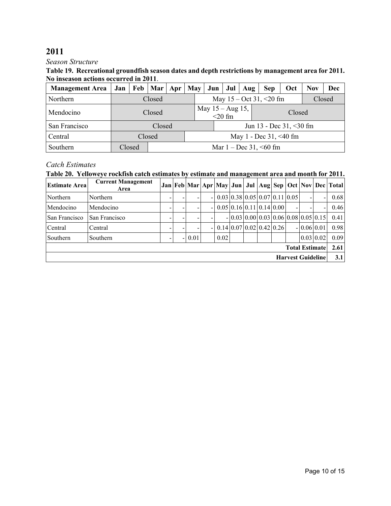#### *Season Structure*

#### **Table 19. Recreational groundfish season dates and depth restrictions by management area for 2011. No inseason actions occurred in 2011**.

| <b>Management Area</b> |        | Jan   Feb   Mar   Apr |                             | May                    |  | Jun | Jul                               | Aug | <b>Sep</b>                 | <b>Oct</b> | <b>Nov</b> | Dec    |  |  |  |  |  |
|------------------------|--------|-----------------------|-----------------------------|------------------------|--|-----|-----------------------------------|-----|----------------------------|------------|------------|--------|--|--|--|--|--|
| Northern               |        | Closed                |                             |                        |  |     |                                   |     | May $15 - Oct 31, < 20 fm$ |            |            | Closed |  |  |  |  |  |
| Mendocino              |        | Closed                |                             |                        |  |     | May $15 - Aug\ 15$ ,<br>$<$ 20 fm |     |                            | Closed     |            |        |  |  |  |  |  |
| San Francisco          |        | Closed                |                             |                        |  |     |                                   |     | Jun 13 - Dec 31, <30 fm    |            |            |        |  |  |  |  |  |
| Central                |        | Closed                |                             | May 1 - Dec 31, <40 fm |  |     |                                   |     |                            |            |            |        |  |  |  |  |  |
| Southern               | Closed |                       | Mar $1 - Dec 31, \le 60$ fm |                        |  |     |                                   |     |                            |            |            |        |  |  |  |  |  |

## *Catch Estimates*

## **Table 20. Yelloweye rockfish catch estimates by estimate and management area and month for 2011.**

| <b>Estimate Area</b> | <b>Current Management</b><br>Area |  |      |                |                                                                    |                                                               |  |                          |                  |                          | Jan   Feb   Mar   Apr   May   Jun   Jul   Aug   Sep   Oct   Nov   Dec   Total |
|----------------------|-----------------------------------|--|------|----------------|--------------------------------------------------------------------|---------------------------------------------------------------|--|--------------------------|------------------|--------------------------|-------------------------------------------------------------------------------|
| Northern             | Northern                          |  |      | $\blacksquare$ |                                                                    | $0.03 \mid 0.38 \mid 0.05 \mid 0.07 \mid 0.11 \mid 0.05 \mid$ |  |                          | ۰                | $\overline{\phantom{a}}$ | 0.68                                                                          |
| Mendocino            | Mendocino                         |  |      | $\blacksquare$ | $0.05 \,   \, 0.16 \,   \, 0.11 \,   \, 0.14 \,   \, 0.00 \,   \,$ |                                                               |  |                          |                  | $\overline{\phantom{a}}$ | 0.46                                                                          |
| San Francisco        | San Francisco                     |  |      |                |                                                                    | $-0.03[0.00[0.03]0.06[0.08]0.05[0.15]$                        |  |                          |                  |                          | 0.41                                                                          |
| Central              | Central                           |  |      | $\blacksquare$ |                                                                    | $0.14 \mid 0.07 \mid 0.02 \mid 0.42 \mid 0.26 \mid$           |  |                          | $-0.06 0.01$     |                          | 0.98                                                                          |
| Southern             | Southern                          |  | 0.01 |                | 0.02                                                               |                                                               |  |                          | $0.03 \,   0.02$ |                          | 0.09                                                                          |
|                      |                                   |  |      |                |                                                                    |                                                               |  | <b>Total Estimate</b>    |                  |                          | 2.61                                                                          |
|                      |                                   |  |      |                |                                                                    |                                                               |  | <b>Harvest Guideline</b> |                  |                          | 3.1                                                                           |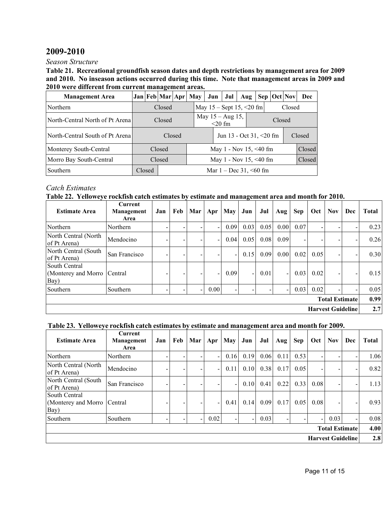# **2009-2010**

*Season Structure*

**Table 21. Recreational groundfish season dates and depth restrictions by management area for 2009 and 2010. No inseason actions occurred during this time. Note that management areas in 2009 and 2010 were different from current management areas.**

| <b>Management Area</b>           |                                       |        | Jan Feb Mar Apr May |  |  |  | Jun                               | Jul                     | Aug |  | Sep   Oct   Nov | Dec    |
|----------------------------------|---------------------------------------|--------|---------------------|--|--|--|-----------------------------------|-------------------------|-----|--|-----------------|--------|
| Northern                         | Closed                                |        |                     |  |  |  | May $15 -$ Sept $15, < 20$ fm     |                         |     |  | Closed          |        |
| North-Central North of Pt Arenal |                                       |        | Closed              |  |  |  | May $15 - Aug\ 15$ ,<br>$<$ 20 fm |                         |     |  |                 |        |
| North-Central South of Pt Arenal |                                       | Closed |                     |  |  |  |                                   | Jun 13 - Oct 31, <20 fm |     |  |                 | Closed |
| Monterey South-Central           |                                       | Closed |                     |  |  |  |                                   | May 1 - Nov 15, <40 fm  |     |  |                 | Closed |
| Morro Bay South-Central          |                                       | Closed |                     |  |  |  | May 1 - Nov 15, <40 fm            |                         |     |  | Closed          |        |
| Southern                         | Closed<br>Mar $1 - Dec 31, \le 60$ fm |        |                     |  |  |  |                                   |                         |     |  |                 |        |

## *Catch Estimates*

**Table 22. Yelloweye rockfish catch estimates by estimate and management area and month for 2010.**

| <b>Estimate Area</b>                                 | <b>Current</b><br>Management<br>Area | Jan | Feb | Mar                      | Apr                      | <b>May</b>               | Jun                      | Jul  | Aug                      | <b>Sep</b> | Oct  | <b>Nov</b> | Dec                      | <b>Total</b> |
|------------------------------------------------------|--------------------------------------|-----|-----|--------------------------|--------------------------|--------------------------|--------------------------|------|--------------------------|------------|------|------------|--------------------------|--------------|
| Northern                                             | Northern                             |     |     |                          |                          | 0.09                     | 0.03                     | 0.05 | 0.00                     | 0.07       |      |            |                          | 0.23         |
| North Central (North<br>of Pt Arena)                 | Mendocino                            |     |     | $\overline{\phantom{0}}$ | $\overline{\phantom{a}}$ | 0.04                     | 0.05                     | 0.08 | 0.09                     |            |      |            |                          | 0.26         |
| North Central (South<br>of Pt Arena)                 | San Francisco                        |     |     | $\overline{\phantom{0}}$ |                          |                          | 0.15                     | 0.09 | 0.00                     | 0.02       | 0.05 |            |                          | 0.30         |
| South Central<br>(Monterey and Morro Central<br>Bay) |                                      |     |     | $\overline{\phantom{a}}$ |                          | 0.09                     | $\overline{\phantom{0}}$ | 0.01 | $\overline{\phantom{0}}$ | 0.03       | 0.02 |            |                          | 0.15         |
| Southern                                             | Southern                             |     |     | $\overline{\phantom{a}}$ | 0.00                     | $\overline{\phantom{0}}$ | $\overline{\phantom{0}}$ |      | $\blacksquare$           | 0.03       | 0.02 |            |                          | 0.05         |
|                                                      |                                      |     |     |                          |                          |                          |                          |      |                          |            |      |            | <b>Total Estimate</b>    | 0.99         |
|                                                      |                                      |     |     |                          |                          |                          |                          |      |                          |            |      |            | <b>Harvest Guideline</b> | 2.7          |

### **Table 23. Yelloweye rockfish catch estimates by estimate and management area and month for 2009.**

| <b>Estimate Area</b>                         | <b>Current</b><br>Management<br>Area | Jan | Feb | Mar                      | Apr                      | <b>May</b> | Jun  | Jul  | Aug  | Sep  | Oct                      | <b>Nov</b>            | Dec                      | <b>Total</b> |
|----------------------------------------------|--------------------------------------|-----|-----|--------------------------|--------------------------|------------|------|------|------|------|--------------------------|-----------------------|--------------------------|--------------|
| Northern                                     | Northern                             | -   |     |                          | $\overline{\phantom{a}}$ | 0.16       | 0.19 | 0.06 | 0.11 | 0.53 | $\overline{\phantom{0}}$ |                       |                          | 1.06         |
| North Central (North<br>of Pt Arena)         | Mendocino                            | -   |     |                          | $\overline{\phantom{a}}$ | 0.11       | 0.10 | 0.38 | 0.17 | 0.05 | $\overline{\phantom{0}}$ |                       |                          | 0.82         |
| North Central (South<br>of Pt Arena)         | San Francisco                        | -   |     |                          | -                        | Ξ.         | 0.10 | 0.41 | 0.22 | 0.33 | 0.08                     |                       |                          | 1.13         |
| South Central<br>(Monterey and Morro<br>Bay) | Central                              | -   |     |                          | $\overline{\phantom{a}}$ | 0.41       | 0.14 | 0.09 | 0.17 | 0.05 | 0.08                     |                       |                          | 0.93         |
| Southern                                     | Southern                             | -   |     | $\overline{\phantom{a}}$ | 0.02                     | ۰.         |      | 0.03 |      |      | Ξ.                       | 0.03                  |                          | 0.08         |
|                                              |                                      |     |     |                          |                          |            |      |      |      |      |                          | <b>Total Estimate</b> |                          | 4.00         |
|                                              |                                      |     |     |                          |                          |            |      |      |      |      |                          |                       | <b>Harvest Guideline</b> | 2.8          |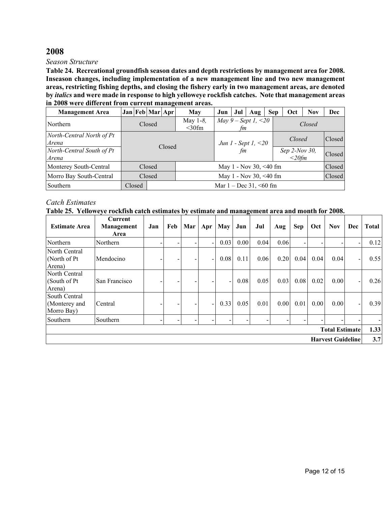#### *Season Structure*

**Table 24. Recreational groundfish season dates and depth restrictions by management area for 2008. Inseason changes, including implementation of a new management line and two new management areas, restricting fishing depths, and closing the fishery early in two management areas, are denoted by** *italics* **and were made in response to high yelloweye rockfish catches. Note that management areas in 2008 were different from current management areas.**

| <b>Management Area</b>             |        | Jan Feb Mar Apr |        | <b>May</b>                   | Jun | Jul | Aug                                      | <b>Sep</b> | Oct                       | <b>Nov</b> | Dec    |
|------------------------------------|--------|-----------------|--------|------------------------------|-----|-----|------------------------------------------|------------|---------------------------|------------|--------|
| Northern                           |        | Closed          |        | May $1-\delta$ ,<br>$<$ 30fm |     | fm  | <i>May</i> $9 - Sept 1, < 20$            |            |                           | Closed     |        |
| North-Central North of Pt<br>Arena |        |                 | Closed |                              |     |     | <i>Jun 1</i> - <i>Sept 1</i> , $\leq$ 20 |            | Closed                    |            | Closed |
| North-Central South of Pt<br>Arena |        |                 |        |                              |     | fm  |                                          |            | Sep 2-Nov 30,<br>$<20$ fm |            | Closed |
| Monterey South-Central             |        | Closed          |        |                              |     |     | May 1 - Nov 30, <40 fm                   |            |                           |            | Closed |
| Morro Bay South-Central            |        | Closed          |        |                              |     |     | May 1 - Nov 30, <40 fm                   |            |                           |            | Closed |
| Southern                           | Closed |                 |        |                              |     |     | Mar $1 - Dec 31, \le 60$ fm              |            |                           |            |        |

## *Catch Estimates*

|  |  |  |  | Table 25. Yelloweye rockfish catch estimates by estimate and management area and month for 2008. |  |
|--|--|--|--|--------------------------------------------------------------------------------------------------|--|
|--|--|--|--|--------------------------------------------------------------------------------------------------|--|

| <b>Estimate Area</b>                         | Current<br>Management<br>Area | Jan | Feb | Mar | Apr                      | <b>May</b>               | Jun  | Jul  | Aug  | Sep  | Oct  | <b>Nov</b>               | Dec | <b>Total</b> |
|----------------------------------------------|-------------------------------|-----|-----|-----|--------------------------|--------------------------|------|------|------|------|------|--------------------------|-----|--------------|
| Northern                                     | Northern                      |     |     |     | Ξ.                       | 0.03                     | 0.00 | 0.04 | 0.06 |      |      | Ξ.                       |     | 0.12         |
| North Central<br>(North of Pt)<br>Arena)     | Mendocino                     |     |     |     | Ξ.                       | 0.08                     | 0.11 | 0.06 | 0.20 | 0.04 | 0.04 | 0.04                     |     | 0.55         |
| North Central<br>(South of Pt)<br>Arena)     | San Francisco                 |     |     |     |                          | $\overline{\phantom{a}}$ | 0.08 | 0.05 | 0.03 | 0.08 | 0.02 | 0.00                     |     | 0.26         |
| South Central<br>(Monterey and<br>Morro Bay) | Central                       |     |     |     | $\overline{\phantom{0}}$ | 0.33                     | 0.05 | 0.01 | 0.00 | 0.01 | 0.00 | 0.00                     |     | 0.39         |
| Southern                                     | Southern                      |     |     |     |                          |                          |      |      |      |      |      | -                        |     |              |
|                                              |                               |     |     |     |                          |                          |      |      |      |      |      | <b>Total Estimate</b>    |     | 1.33         |
|                                              |                               |     |     |     |                          |                          |      |      |      |      |      | <b>Harvest Guideline</b> |     | 3.7          |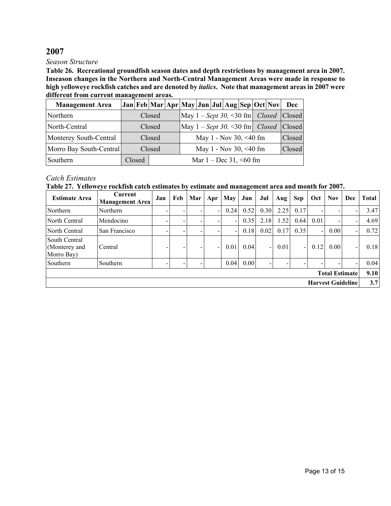#### *Season Structure*

**Table 26. Recreational groundfish season dates and depth restrictions by management area in 2007. Inseason changes in the Northern and North-Central Management Areas were made in response to high yelloweye rockfish catches and are denoted by** *italics***. Note that management areas in 2007 were different from current management areas.**

| <b>Management Area</b>  |        |        |                             |  | Jan Feb Mar Apr May Jun Jul Aug Sep Oct Nov |  |  |                        |  |                                        | Dec    |
|-------------------------|--------|--------|-----------------------------|--|---------------------------------------------|--|--|------------------------|--|----------------------------------------|--------|
| Northern                | Closed |        |                             |  |                                             |  |  |                        |  | May $1 - Sept 30, 30 fm$ Closed Closed |        |
| North-Central           |        |        | Closed                      |  | May $1 - Sept 30, \leq 30$ fm <i>Closed</i> |  |  |                        |  |                                        | Closed |
| Monterey South-Central  |        |        | Closed                      |  |                                             |  |  | May 1 - Nov 30, <40 fm |  |                                        | Closed |
| Morro Bay South-Central |        |        | Closed                      |  |                                             |  |  | May 1 - Nov 30, <40 fm |  |                                        | Closed |
| Southern                |        | Closed | Mar $1 - Dec 31, \le 60$ fm |  |                                             |  |  |                        |  |                                        |        |

### *Catch Estimates*

**Table 27. Yelloweye rockfish catch estimates by estimate and management area and month for 2007.**

| <b>Estimate Area</b>                         | Current<br><b>Management Area</b> | Jan | Feb | Mar | Apr                      | May                      | Jun  | Jul                      | $\bf{Aug}$ | Sep            | Oct                      | <b>Nov</b>               | Dec                      | <b>Total</b> |
|----------------------------------------------|-----------------------------------|-----|-----|-----|--------------------------|--------------------------|------|--------------------------|------------|----------------|--------------------------|--------------------------|--------------------------|--------------|
| Northern                                     | Northern                          |     |     |     |                          | 0.24                     | 0.52 | 0.30                     | 2.25       | 0.17           |                          |                          |                          | 3.47         |
| North Central                                | Mendocino                         |     |     |     |                          | ٠                        | 0.35 | 2.18                     | 1.52       | 0.64           | 0.01                     |                          |                          | 4.69         |
| North Central                                | San Francisco                     |     |     |     |                          | $\overline{\phantom{a}}$ | 0.18 | 0.02                     | 0.17       | 0.35           | $\overline{\phantom{0}}$ | 0.00 <sub>l</sub>        |                          | 0.72         |
| South Central<br>(Monterey and<br>Morro Bay) | Central                           |     |     |     | $\overline{\phantom{0}}$ | 0.01                     | 0.04 | $\overline{\phantom{0}}$ | 0.01       | $\blacksquare$ | 0.12                     | 0.00 <sub>l</sub>        | $\overline{\phantom{a}}$ | 0.18         |
| <b>Southern</b>                              | Southern                          |     |     |     |                          | 0.04                     | 0.00 |                          |            |                |                          |                          |                          | 0.04         |
| <b>Total Estimate</b>                        |                                   |     |     |     |                          |                          |      |                          |            |                |                          | 9.10                     |                          |              |
|                                              |                                   |     |     |     |                          |                          |      |                          |            |                |                          | <b>Harvest Guideline</b> |                          | 3.7          |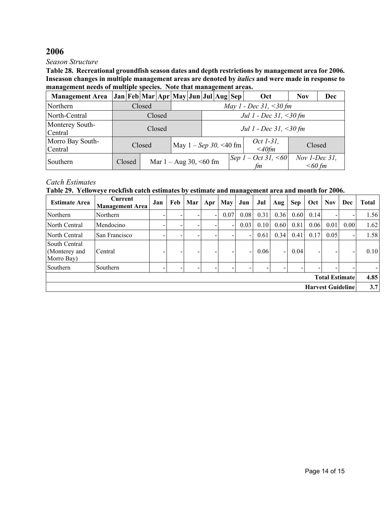#### *Season Structure*

**Table 28. Recreational groundfish season dates and depth restrictions by management area for 2006. Inseason changes in multiple management areas are denoted by** *italics* **and were made in response to management needs of multiple species. Note that management areas.**

| <b>Management Area</b>      |        |                                  |        |        | Jan   Feb   Mar   Apr   May   Jun   Jul   Aug   Sep |  |                                   |  |  | Oct                           | <b>Nov</b>                   | Dec |  |  |  |  |
|-----------------------------|--------|----------------------------------|--------|--------|-----------------------------------------------------|--|-----------------------------------|--|--|-------------------------------|------------------------------|-----|--|--|--|--|
| Northern                    |        | May 1 - Dec 31, <30 fm<br>Closed |        |        |                                                     |  |                                   |  |  |                               |                              |     |  |  |  |  |
| North-Central               |        | Jul 1 - Dec 31, <30 fm<br>Closed |        |        |                                                     |  |                                   |  |  |                               |                              |     |  |  |  |  |
| Monterey South-<br>Central  |        |                                  |        | Closed |                                                     |  | <i>Jul 1 - Dec 31</i> , $<$ 30 fm |  |  |                               |                              |     |  |  |  |  |
| Morro Bay South-<br>Central |        |                                  | Closed |        | May $1 - Sep$ 30, <40 fm                            |  |                                   |  |  | <i>Oct 1-31</i> ,<br>$<$ 40fm | Closed                       |     |  |  |  |  |
| Southern                    | Closed |                                  |        |        | Mar $1 -$ Aug 30, <60 fm                            |  |                                   |  |  | Sep 1 – Oct 31, <60<br>fm     | Nov $1$ -Dec 31,<br>$<60$ fm |     |  |  |  |  |

## *Catch Estimates*

#### **Table 29. Yelloweye rockfish catch estimates by estimate and management area and month for 2006.**

| <b>Estimate Area</b>                         | Current<br><b>Management Area</b> | Jan                      | Feb | Mar | Apr | May  | Jun  | Jul  | Aug            | <b>Sep</b> | Oct  | <b>Nov</b> | Dec  | <b>Total</b> |
|----------------------------------------------|-----------------------------------|--------------------------|-----|-----|-----|------|------|------|----------------|------------|------|------------|------|--------------|
| Northern                                     | Northern                          |                          |     |     |     | 0.07 | 0.08 | 0.31 | 0.36           | 0.60       | 0.14 |            |      | 1.56         |
| North Central                                | Mendocino                         | -                        | ۰.  | -   |     | Ξ.   | 0.03 | 0.10 | 0.60           | 0.81       | 0.06 | 0.01       | 0.00 | 1.62         |
| North Central                                | San Francisco                     | -                        |     |     |     |      |      | 0.61 | 0.34           | 0.41       | 0.17 | 0.05       |      | 1.58         |
| South Central<br>(Monterey and<br>Morro Bay) | Central                           | $\overline{\phantom{0}}$ | -   |     |     | -    | -    | 0.06 | $\blacksquare$ | 0.04       |      |            |      | 0.10         |
| Southern                                     | Southern                          | -                        | -   |     |     | -    |      |      |                | -          |      |            |      |              |
| <b>Total Estimate</b>                        |                                   |                          |     |     |     |      |      |      |                |            |      |            |      | 4.85         |
| <b>Harvest Guideline</b>                     |                                   |                          |     |     |     |      |      |      |                |            |      | 3.7        |      |              |